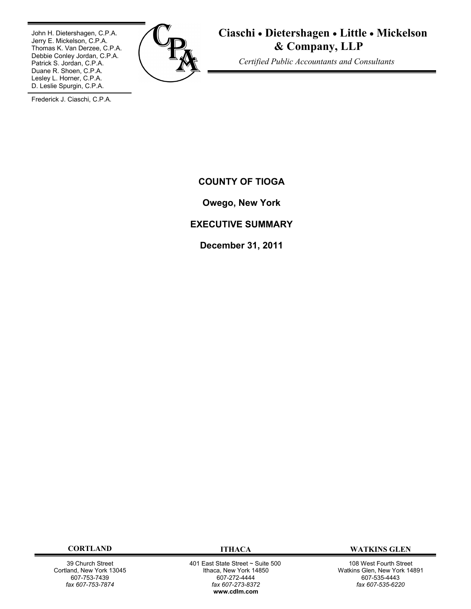John H. Dietershagen, C.P.A. Jerry E. Mickelson, C.P.A. Thomas K. Van Derzee, C.P.A. Debbie Conley Jordan, C.P.A. Patrick S. Jordan, C.P.A. Duane R. Shoen, C.P.A. Lesley L. Horner, C.P.A. D. Leslie Spurgin, C.P.A.



**Ciaschi Dietershagen Little Mickelson & Company, LLP**

 *Certified Public Accountants and Consultants*

Frederick J. Ciaschi, C.P.A.

**COUNTY OF TIOGA**

**Owego, New York**

# **EXECUTIVE SUMMARY**

**December 31, 2011**

39 Church Street Cortland, New York 13045 607-753-7439 *fax 607-753-7874*

 401 East State Street ~ Suite 500 Ithaca, New York 14850 607-272-4444 *fax 607-273-8372* **w[ww.cdlm.com](www.cdlm.com)**

**CORTLAND ITHACA WATKINS GLEN**

108 West Fourth Street Watkins Glen, New York 14891 607-535-4443 *fax 607-535-6220*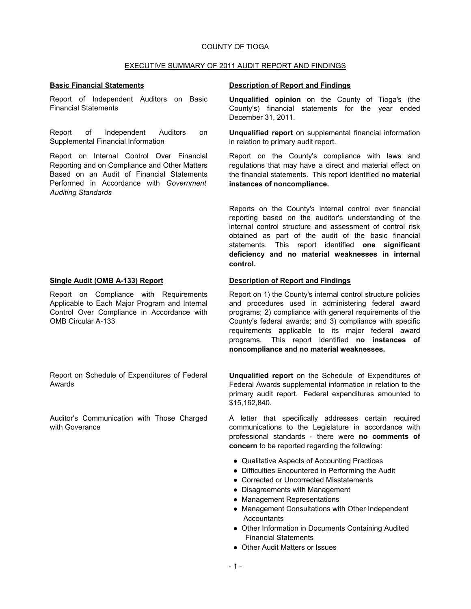### COUNTY OF TIOGA

#### EXECUTIVE SUMMARY OF 2011 AUDIT REPORT AND FINDINGS

Report of Independent Auditors on Basic Financial Statements

Report of Independent Auditors on Supplemental Financial Information

Report on Internal Control Over Financial Reporting and on Compliance and Other Matters Based on an Audit of Financial Statements Performed in Accordance with *Government Auditing Standards*

Report on Compliance with Requirements Applicable to Each Major Program and Internal Control Over Compliance in Accordance with OMB Circular A-133

Report on Schedule of Expenditures of Federal Awards

Auditor's Communication with Those Charged with Goverance

#### **Basic Financial Statements Description of Report and Findings**

**Unqualified opinion** on the County of Tioga's (the County's) financial statements for the year ended December 31, 2011.

**Unqualified report** on supplemental financial information in relation to primary audit report.

Report on the County's compliance with laws and regulations that may have a direct and material effect on the financial statements. This report identified **no material instances of noncompliance.**

Reports on the County's internal control over financial reporting based on the auditor's understanding of the internal control structure and assessment of control risk obtained as part of the audit of the basic financial statements. This report identified **one significant deficiency and no material weaknesses in internal control.**

#### **Single Audit (OMB A-133) Report Description of Report and Findings**

Report on 1) the County's internal control structure policies and procedures used in administering federal award programs; 2) compliance with general requirements of the County's federal awards; and 3) compliance with specific requirements applicable to its major federal award programs. This report identified **no instances of noncompliance and no material weaknesses.**

**Unqualified report** on the Schedule of Expenditures of Federal Awards supplemental information in relation to the primary audit report. Federal expenditures amounted to \$15,162,840.

A letter that specifically addresses certain required communications to the Legislature in accordance with professional standards - there were **no comments of concern** to be reported regarding the following:

- Qualitative Aspects of Accounting Practices
- Difficulties Encountered in Performing the Audit
- Corrected or Uncorrected Misstatements
- Disagreements with Management
- Management Representations
- Management Consultations with Other Independent **Accountants**
- Other Information in Documents Containing Audited Financial Statements
- Other Audit Matters or Issues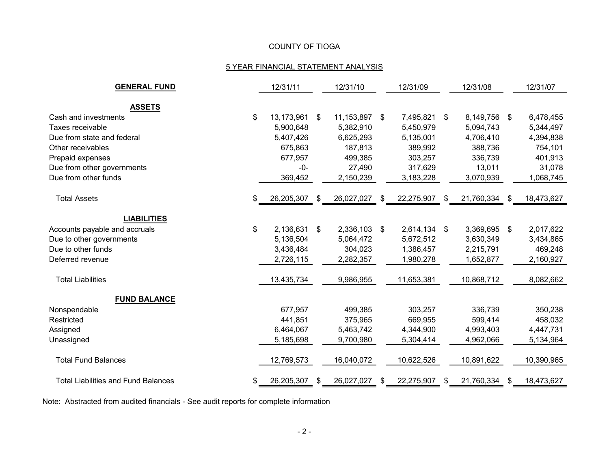# COUNTY OF TIOGA

# 5 YEAR FINANCIAL STATEMENT ANALYSIS

| <b>GENERAL FUND</b>                        |    | 12/31/11      |   | 12/31/10      |    | 12/31/09     |     | 12/31/08     |      | 12/31/07   |
|--------------------------------------------|----|---------------|---|---------------|----|--------------|-----|--------------|------|------------|
|                                            |    |               |   |               |    |              |     |              |      |            |
| <b>ASSETS</b>                              |    |               |   |               |    |              |     |              |      |            |
| Cash and investments                       | \$ | 13,173,961 \$ |   | 11,153,897 \$ |    | 7,495,821 \$ |     | 8,149,756 \$ |      | 6,478,455  |
| Taxes receivable                           |    | 5,900,648     |   | 5,382,910     |    | 5,450,979    |     | 5,094,743    |      | 5,344,497  |
| Due from state and federal                 |    | 5,407,426     |   | 6,625,293     |    | 5,135,001    |     | 4,706,410    |      | 4,394,838  |
| Other receivables                          |    | 675,863       |   | 187,813       |    | 389,992      |     | 388,736      |      | 754,101    |
| Prepaid expenses                           |    | 677,957       |   | 499,385       |    | 303,257      |     | 336,739      |      | 401,913    |
| Due from other governments                 |    | $-0-$         |   | 27,490        |    | 317,629      |     | 13,011       |      | 31,078     |
| Due from other funds                       |    | 369,452       |   | 2,150,239     |    | 3,183,228    |     | 3,070,939    |      | 1,068,745  |
| <b>Total Assets</b>                        | S. | 26,205,307    | S | 26,027,027    | S. | 22,275,907   | - S | 21,760,334   | - SS | 18,473,627 |
| <b>LIABILITIES</b>                         |    |               |   |               |    |              |     |              |      |            |
|                                            |    |               |   |               |    |              |     |              |      |            |
| Accounts payable and accruals              | \$ | 2,136,631 \$  |   | 2,336,103 \$  |    | 2,614,134 \$ |     | 3,369,695 \$ |      | 2,017,622  |
| Due to other governments                   |    | 5,136,504     |   | 5,064,472     |    | 5,672,512    |     | 3,630,349    |      | 3,434,865  |
| Due to other funds                         |    | 3,436,484     |   | 304,023       |    | 1,386,457    |     | 2,215,791    |      | 469,248    |
| Deferred revenue                           |    | 2,726,115     |   | 2,282,357     |    | 1,980,278    |     | 1,652,877    |      | 2,160,927  |
| <b>Total Liabilities</b>                   |    | 13,435,734    |   | 9,986,955     |    | 11,653,381   |     | 10,868,712   |      | 8,082,662  |
| <b>FUND BALANCE</b>                        |    |               |   |               |    |              |     |              |      |            |
| Nonspendable                               |    | 677,957       |   | 499,385       |    | 303,257      |     | 336,739      |      | 350,238    |
| Restricted                                 |    | 441,851       |   | 375,965       |    | 669,955      |     | 599,414      |      | 458,032    |
| Assigned                                   |    | 6,464,067     |   | 5,463,742     |    | 4,344,900    |     | 4,993,403    |      | 4,447,731  |
| Unassigned                                 |    | 5,185,698     |   | 9,700,980     |    | 5,304,414    |     | 4,962,066    |      | 5,134,964  |
| <b>Total Fund Balances</b>                 |    | 12,769,573    |   | 16,040,072    |    | 10,622,526   |     | 10,891,622   |      | 10,390,965 |
| <b>Total Liabilities and Fund Balances</b> |    | 26,205,307    | S | 26,027,027    |    | 22,275,907   |     | 21,760,334   |      | 18,473,627 |

Note: Abstracted from audited financials - See audit reports for complete information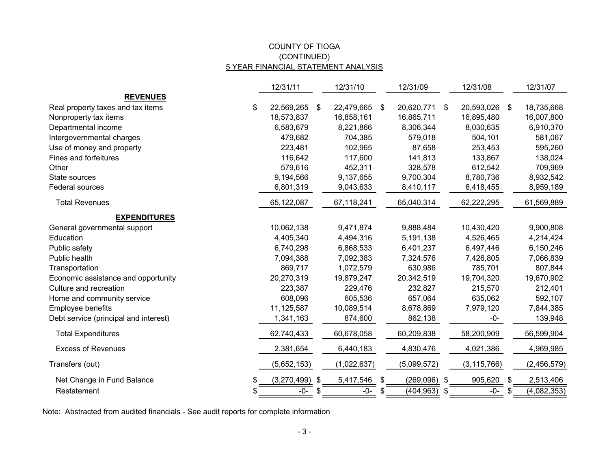## COUNTY OF TIOGA 5 YEAR FINANCIAL STATEMENT ANALYSIS (CONTINUED)

|                                        | 12/31/11    |               | 12/31/10    | 12/31/09         |               | 12/31/08      |    | 12/31/07    |
|----------------------------------------|-------------|---------------|-------------|------------------|---------------|---------------|----|-------------|
| <b>REVENUES</b>                        |             |               |             |                  |               |               |    |             |
| Real property taxes and tax items<br>S | 22,569,265  | \$            | 22,479,665  | \$<br>20,620,771 | -S            | 20,593,026 \$ |    | 18,735,668  |
| Nonproperty tax items                  | 18,573,837  |               | 16,858,161  | 16,865,711       |               | 16,895,480    |    | 16,007,800  |
| Departmental income                    | 6,583,679   |               | 8,221,866   | 8,306,344        |               | 8,030,635     |    | 6,910,370   |
| Intergovernmental charges              | 479,682     |               | 704,385     | 579,018          |               | 504,101       |    | 581,067     |
| Use of money and property              | 223,481     |               | 102,965     | 87,658           |               | 253,453       |    | 595,260     |
| Fines and forfeitures                  | 116,642     |               | 117,600     | 141,813          |               | 133,867       |    | 138,024     |
| Other                                  | 579,616     |               | 452,311     | 328,578          |               | 612,542       |    | 709,969     |
| State sources                          | 9,194,566   |               | 9,137,655   | 9,700,304        |               | 8,780,736     |    | 8,932,542   |
| Federal sources                        | 6,801,319   |               | 9,043,633   | 8,410,117        |               | 6,418,455     |    | 8,959,189   |
| <b>Total Revenues</b>                  | 65,122,087  |               | 67,118,241  | 65,040,314       |               | 62,222,295    |    | 61,569,889  |
| <b>EXPENDITURES</b>                    |             |               |             |                  |               |               |    |             |
| General governmental support           | 10,062,138  |               | 9,471,874   | 9,888,484        |               | 10,430,420    |    | 9,900,808   |
| Education                              | 4,405,340   |               | 4,494,316   | 5,191,138        |               | 4,526,465     |    | 4,214,424   |
| Public safety                          | 6,740,298   |               | 6,868,533   | 6,401,237        |               | 6,497,446     |    | 6,150,246   |
| Public health                          | 7,094,388   |               | 7,092,383   | 7,324,576        |               | 7,426,805     |    | 7,066,839   |
| Transportation                         | 869,717     |               | 1,072,579   | 630,986          |               | 785,701       |    | 807,844     |
| Economic assistance and opportunity    | 20,270,319  |               | 19,879,247  | 20,342,519       |               | 19,704,320    |    | 19,670,902  |
| Culture and recreation                 | 223,387     |               | 229,476     | 232,827          |               | 215,570       |    | 212,401     |
| Home and community service             | 608,096     |               | 605,536     | 657,064          |               | 635,062       |    | 592,107     |
| Employee benefits                      | 11,125,587  |               | 10,089,514  | 8,678,869        |               | 7,979,120     |    | 7,844,385   |
| Debt service (principal and interest)  | 1,341,163   |               | 874,600     | 862,138          |               | $-0-$         |    | 139,948     |
| <b>Total Expenditures</b>              | 62,740,433  |               | 60,678,058  | 60,209,838       |               | 58,200,909    |    | 56,599,904  |
| <b>Excess of Revenues</b>              | 2,381,654   |               | 6,440,183   | 4,830,476        |               | 4,021,386     |    | 4,969,985   |
| Transfers (out)                        | (5,652,153) |               | (1,022,637) | (5,099,572)      |               | (3, 115, 766) |    | (2,456,579) |
| Net Change in Fund Balance<br>\$       | (3,270,499) | $\sqrt[6]{3}$ | 5,417,546   | \$<br>(269,096)  | $\sqrt[6]{3}$ | 905,620       | \$ | 2,513,406   |
| Restatement<br>S                       | -0-         | -86           | -0-         | \$<br>(404, 963) | \$            | -0-           | S. | (4,082,353) |

Note: Abstracted from audited financials - See audit reports for complete information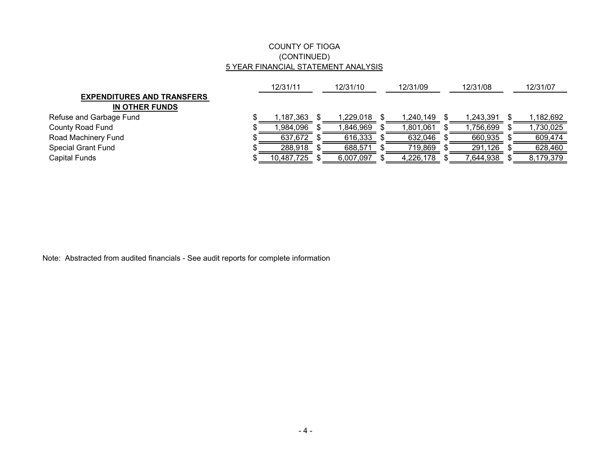## COUNTY OF TIOGA (CONTINUED) 5 YEAR FINANCIAL STATEMENT ANALYSIS

|                                   | 12/31/11   |  | 12/31/10  |  | 12/31/09  |  | 12/31/08   |  | 12/31/07  |  |
|-----------------------------------|------------|--|-----------|--|-----------|--|------------|--|-----------|--|
| <b>EXPENDITURES AND TRANSFERS</b> |            |  |           |  |           |  |            |  |           |  |
| IN OTHER FUNDS                    |            |  |           |  |           |  |            |  |           |  |
| Refuse and Garbage Fund           | 1,187,363⊹ |  | 1,229,018 |  | 1,240,149 |  | 1,243,391  |  | ,182,692  |  |
| County Road Fund                  | ,984,096   |  | 846,969,ا |  | 1,801,061 |  | 899,756 ا. |  | ,730,025  |  |
| Road Machinery Fund               | 637,672    |  | 616,333   |  | 632,046   |  | 660,935    |  | 609.474   |  |
| <b>Special Grant Fund</b>         | 288,918    |  | 688,571   |  | 719,869   |  | 291,126    |  | 628,460   |  |
| Capital Funds                     | 10,487,725 |  | 6,007,097 |  | 4,226,178 |  | ,644,938   |  | 8,179,379 |  |

Note: Abstracted from audited financials - See audit reports for complete information